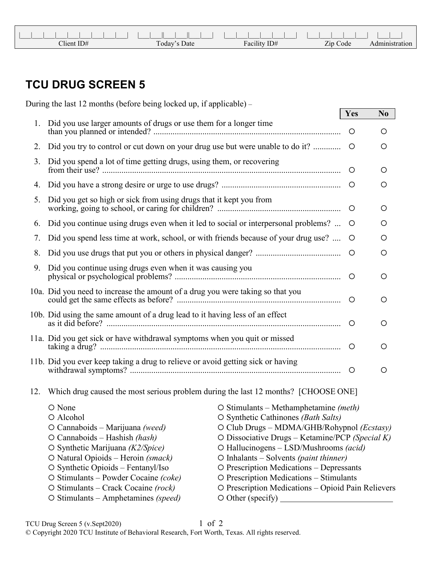| Client ID# | Today'.<br>Date | $-11$<br>ID#<br>$\mathbf{r}$<br>r acılıtv | Zip Code | tion |
|------------|-----------------|-------------------------------------------|----------|------|

## **TCU DRUG SCREEN 5**

|     | During the last 12 months (before being locked up, if applicable) –                                                                                                                                                                                                                                                                          |                                                                                                                                                                                                                                                                                                                                                                                                                                                   |            |                |  |
|-----|----------------------------------------------------------------------------------------------------------------------------------------------------------------------------------------------------------------------------------------------------------------------------------------------------------------------------------------------|---------------------------------------------------------------------------------------------------------------------------------------------------------------------------------------------------------------------------------------------------------------------------------------------------------------------------------------------------------------------------------------------------------------------------------------------------|------------|----------------|--|
|     |                                                                                                                                                                                                                                                                                                                                              |                                                                                                                                                                                                                                                                                                                                                                                                                                                   | <b>Yes</b> | N <sub>0</sub> |  |
| 1.  | Did you use larger amounts of drugs or use them for a longer time                                                                                                                                                                                                                                                                            |                                                                                                                                                                                                                                                                                                                                                                                                                                                   | $\circ$    | $\circ$        |  |
| 2.  | Did you try to control or cut down on your drug use but were unable to do it?                                                                                                                                                                                                                                                                |                                                                                                                                                                                                                                                                                                                                                                                                                                                   | $\circ$    | O              |  |
| 3.  | Did you spend a lot of time getting drugs, using them, or recovering                                                                                                                                                                                                                                                                         |                                                                                                                                                                                                                                                                                                                                                                                                                                                   | $\circ$    | O              |  |
| 4.  |                                                                                                                                                                                                                                                                                                                                              |                                                                                                                                                                                                                                                                                                                                                                                                                                                   |            | O              |  |
| 5.  | Did you get so high or sick from using drugs that it kept you from                                                                                                                                                                                                                                                                           |                                                                                                                                                                                                                                                                                                                                                                                                                                                   | $\circ$    | O              |  |
| 6.  | Did you continue using drugs even when it led to social or interpersonal problems?                                                                                                                                                                                                                                                           |                                                                                                                                                                                                                                                                                                                                                                                                                                                   | $\circ$    | O              |  |
| 7.  | Did you spend less time at work, school, or with friends because of your drug use?                                                                                                                                                                                                                                                           |                                                                                                                                                                                                                                                                                                                                                                                                                                                   | $\circ$    | O              |  |
| 8.  |                                                                                                                                                                                                                                                                                                                                              |                                                                                                                                                                                                                                                                                                                                                                                                                                                   | $\circ$    | O              |  |
| 9.  | Did you continue using drugs even when it was causing you                                                                                                                                                                                                                                                                                    |                                                                                                                                                                                                                                                                                                                                                                                                                                                   |            | O              |  |
|     | 10a. Did you need to increase the amount of a drug you were taking so that you                                                                                                                                                                                                                                                               |                                                                                                                                                                                                                                                                                                                                                                                                                                                   |            | O              |  |
|     | 10b. Did using the same amount of a drug lead to it having less of an effect                                                                                                                                                                                                                                                                 |                                                                                                                                                                                                                                                                                                                                                                                                                                                   | $\circ$    | O              |  |
|     | 11a. Did you get sick or have withdrawal symptoms when you quit or missed                                                                                                                                                                                                                                                                    |                                                                                                                                                                                                                                                                                                                                                                                                                                                   |            | O              |  |
|     | 11b. Did you ever keep taking a drug to relieve or avoid getting sick or having                                                                                                                                                                                                                                                              |                                                                                                                                                                                                                                                                                                                                                                                                                                                   |            | O              |  |
| 12. | Which drug caused the most serious problem during the last 12 months? [CHOOSE ONE]                                                                                                                                                                                                                                                           |                                                                                                                                                                                                                                                                                                                                                                                                                                                   |            |                |  |
|     | O None<br>O Alcohol<br>O Cannaboids – Marijuana (weed)<br>$O$ Cannaboids – Hashish <i>(hash)</i><br>O Synthetic Marijuana (K2/Spice)<br>O Natural Opioids - Heroin (smack)<br>O Synthetic Opioids - Fentanyl/Iso<br>O Stimulants – Powder Cocaine (coke)<br>$\circ$ Stimulants – Crack Cocaine (rock)<br>O Stimulants - Amphetamines (speed) | $\circ$ Stimulants – Methamphetamine (meth)<br>O Synthetic Cathinones (Bath Salts)<br>O Club Drugs - MDMA/GHB/Rohypnol (Ecstasy)<br>O Dissociative Drugs - Ketamine/PCP (Special K)<br>O Hallucinogens - LSD/Mushrooms (acid)<br>$O$ Inhalants – Solvents (paint thinner)<br>O Prescription Medications - Depressants<br>O Prescription Medications - Stimulants<br>O Prescription Medications - Opioid Pain Relievers<br>$\circ$ Other (specify) |            |                |  |